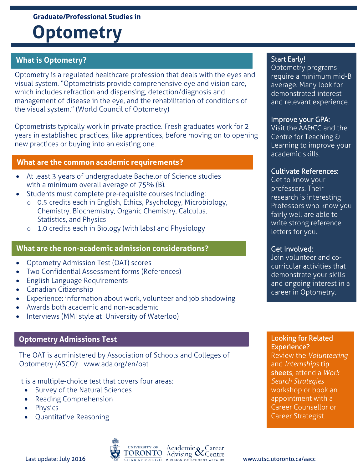#### **Graduate/Professional Studies in**

# **Optometry**

## **What is Optometry?**

Optometry is a regulated healthcare profession that deals with the eyes and visual system. "Optometrists provide comprehensive eye and vision care, which includes refraction and dispensing, detection/diagnosis and management of disease in the eye, and the rehabilitation of conditions of the visual system." (World Council of Optometry)

Optometrists typically work in private practice. Fresh graduates work for 2 years in established practices, like apprentices, before moving on to opening new practices or buying into an existing one.

#### **What are the common academic requirements?**

- At least 3 years of undergraduate Bachelor of Science studies with a minimum overall average of 75% (B).
- Students must complete pre-requisite courses including:
	- o 0.5 credits each in English, Ethics, Psychology, Microbiology, Chemistry, Biochemistry, Organic Chemistry, Calculus, Statistics, and Physics
	- o 1.0 credits each in Biology (with labs) and Physiology

## **What are the non-academic admission considerations?**

- Optometry Admission Test (OAT) scores
- Two Confidential Assessment forms (References)
- English Language Requirements
- Canadian Citizenship
- Experience: information about work, volunteer and job shadowing
- Awards both academic and non-academic
- Interviews (MMI style at University of Waterloo)

# **Optometry Admissions Test**

The OAT is administered by Association of Schools and Colleges of Optometry (ASCO): [www.ada.org/en/oat](http://www.ada.org/en/oat)

It is a multiple-choice test that covers four areas:

- Survey of the Natural Sciences
- Reading Comprehension
- Physics
- Quantitative Reasoning

# Start Early!

Optometry programs require a minimum mid-B average. Many look for demonstrated interest and relevant experience.

## Improve your GPA:

Visit the AA&CC and the Centre for Teaching & Learning to improve your academic skills.

## Cultivate References:

Get to know your professors. Their research is interesting! Professors who know you fairly well are able to write strong reference letters for you.

## Get Involved:

Join volunteer and cocurricular activities that demonstrate your skills and ongoing interest in a career in Optometry.

### Looking for Related Experience?

Review the *Volunteering* and *Internships* tip sheets, attend a *Work Search Strategies* workshop or book an appointment with a Career Counsellor or Career Strategist.